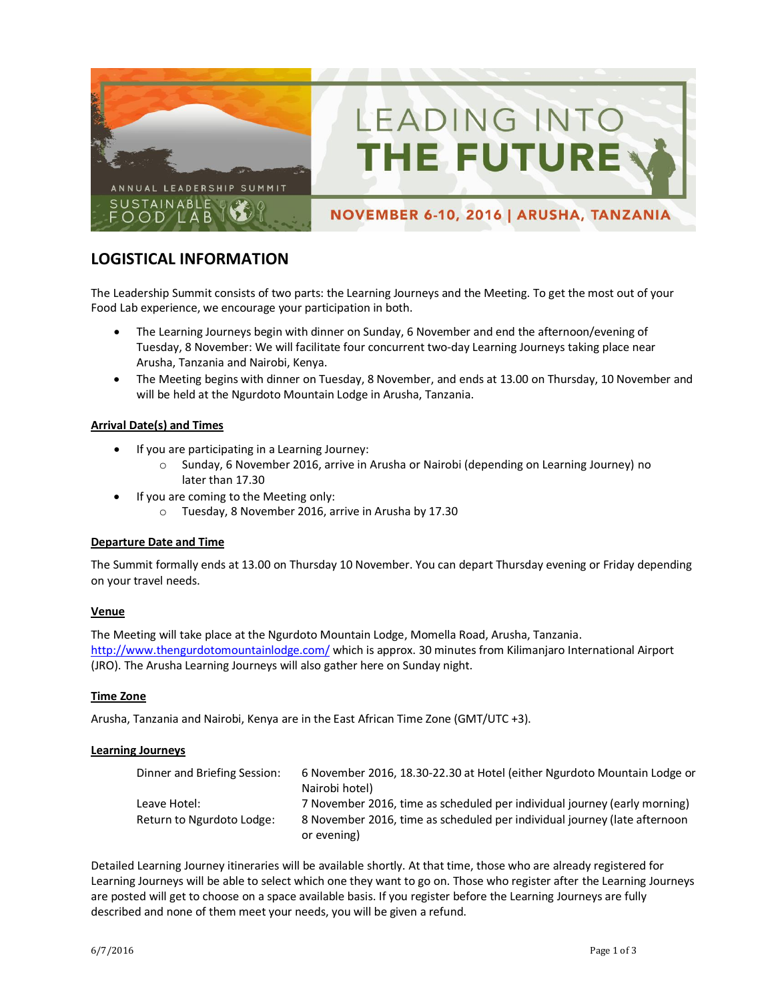

NOVEMBER 6-10, 2016 | ARUSHA, TANZANIA

LEADING INTO

**THE FUTURE** 

# **LOGISTICAL INFORMATION**

The Leadership Summit consists of two parts: the Learning Journeys and the Meeting. To get the most out of your Food Lab experience, we encourage your participation in both.

- The Learning Journeys begin with dinner on Sunday, 6 November and end the afternoon/evening of Tuesday, 8 November: We will facilitate four concurrent two-day Learning Journeys taking place near Arusha, Tanzania and Nairobi, Kenya.
- The Meeting begins with dinner on Tuesday, 8 November, and ends at 13.00 on Thursday, 10 November and will be held at the Ngurdoto Mountain Lodge in Arusha, Tanzania.

## **Arrival Date(s) and Times**

- If you are participating in a Learning Journey:
	- o Sunday, 6 November 2016, arrive in Arusha or Nairobi (depending on Learning Journey) no later than 17.30
	- If you are coming to the Meeting only:
		- o Tuesday, 8 November 2016, arrive in Arusha by 17.30

## **Departure Date and Time**

The Summit formally ends at 13.00 on Thursday 10 November. You can depart Thursday evening or Friday depending on your travel needs.

## **Venue**

The Meeting will take place at the Ngurdoto Mountain Lodge, Momella Road, Arusha, Tanzania. <http://www.thengurdotomountainlodge.com/>which is approx. 30 minutes from Kilimanjaro International Airport (JRO). The Arusha Learning Journeys will also gather here on Sunday night.

## **Time Zone**

Arusha, Tanzania and Nairobi, Kenya are in the East African Time Zone (GMT/UTC +3).

## **Learning Journeys**

| Dinner and Briefing Session: | 6 November 2016, 18.30-22.30 at Hotel (either Ngurdoto Mountain Lodge or<br>Nairobi hotel) |
|------------------------------|--------------------------------------------------------------------------------------------|
| Leave Hotel:                 | 7 November 2016, time as scheduled per individual journey (early morning)                  |
| Return to Ngurdoto Lodge:    | 8 November 2016, time as scheduled per individual journey (late afternoon                  |
|                              | or evening)                                                                                |

Detailed Learning Journey itineraries will be available shortly. At that time, those who are already registered for Learning Journeys will be able to select which one they want to go on. Those who register after the Learning Journeys are posted will get to choose on a space available basis. If you register before the Learning Journeys are fully described and none of them meet your needs, you will be given a refund.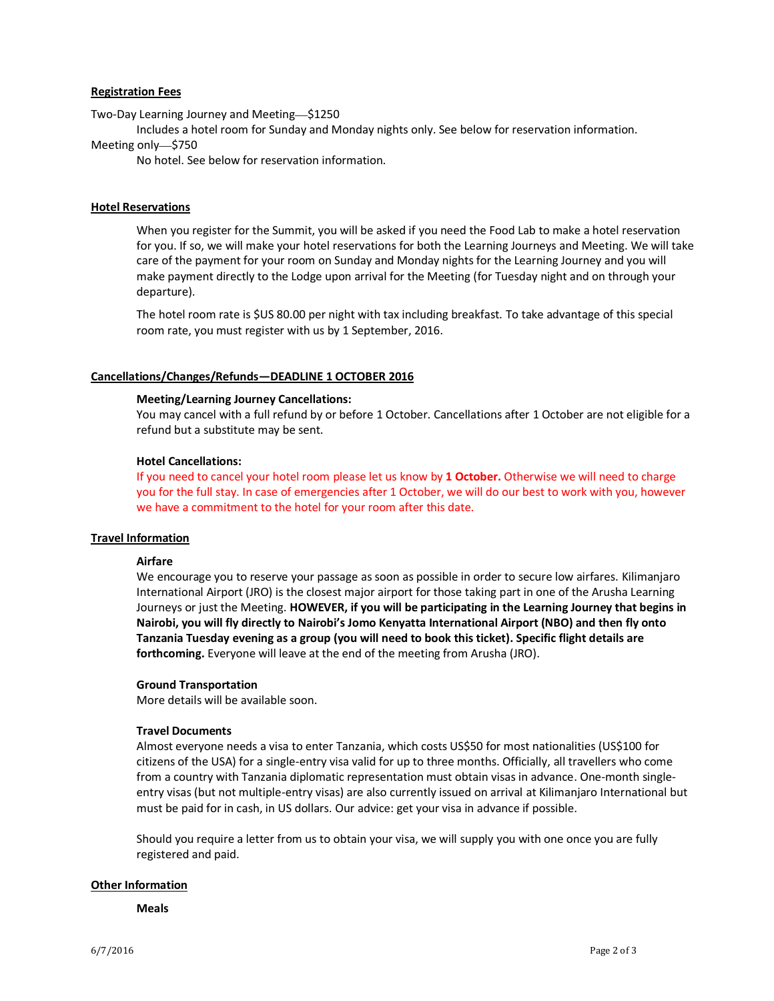#### **Registration Fees**

Two-Day Learning Journey and Meeting—\$1250

Includes a hotel room for Sunday and Monday nights only. See below for reservation information.

#### Meeting only—\$750

No hotel. See below for reservation information.

#### **Hotel Reservations**

When you register for the Summit, you will be asked if you need the Food Lab to make a hotel reservation for you. If so, we will make your hotel reservations for both the Learning Journeys and Meeting. We will take care of the payment for your room on Sunday and Monday nights for the Learning Journey and you will make payment directly to the Lodge upon arrival for the Meeting (for Tuesday night and on through your departure).

The hotel room rate is \$US 80.00 per night with tax including breakfast. To take advantage of this special room rate, you must register with us by 1 September, 2016.

#### **Cancellations/Changes/Refunds—DEADLINE 1 OCTOBER 2016**

#### **Meeting/Learning Journey Cancellations:**

You may cancel with a full refund by or before 1 October. Cancellations after 1 October are not eligible for a refund but a substitute may be sent.

#### **Hotel Cancellations:**

If you need to cancel your hotel room please let us know by **1 October.** Otherwise we will need to charge you for the full stay. In case of emergencies after 1 October, we will do our best to work with you, however we have a commitment to the hotel for your room after this date.

#### **Travel Information**

#### **Airfare**

We encourage you to reserve your passage as soon as possible in order to secure low airfares. Kilimanjaro International Airport (JRO) is the closest major airport for those taking part in one of the Arusha Learning Journeys or just the Meeting. **HOWEVER, if you will be participating in the Learning Journey that begins in Nairobi, you will fly directly to Nairobi's Jomo Kenyatta International Airport (NBO) and then fly onto Tanzania Tuesday evening as a group (you will need to book this ticket). Specific flight details are forthcoming.** Everyone will leave at the end of the meeting from Arusha (JRO).

#### **Ground Transportation**

More details will be available soon.

#### **Travel Documents**

Almost everyone needs a visa to enter Tanzania, which costs US\$50 for most nationalities (US\$100 for citizens of the USA) for a single-entry visa valid for up to three months. Officially, all travellers who come from a country with Tanzania diplomatic representation must obtain visas in advance. One-month singleentry visas (but not multiple-entry visas) are also currently issued on arrival at Kilimanjaro International but must be paid for in cash, in US dollars. Our advice: get your visa in advance if possible.

Should you require a letter from us to obtain your visa, we will supply you with one once you are fully registered and paid.

#### **Other Information**

**Meals**